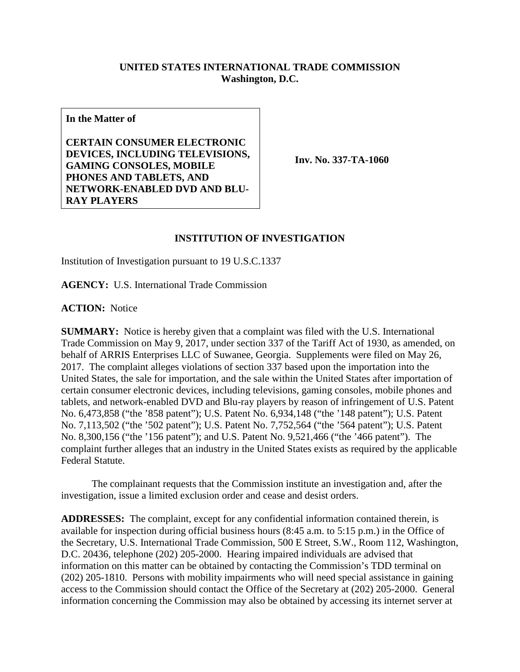## **UNITED STATES INTERNATIONAL TRADE COMMISSION Washington, D.C.**

**In the Matter of**

**CERTAIN CONSUMER ELECTRONIC DEVICES, INCLUDING TELEVISIONS, GAMING CONSOLES, MOBILE PHONES AND TABLETS, AND NETWORK-ENABLED DVD AND BLU-RAY PLAYERS**

**Inv. No. 337-TA-1060**

## **INSTITUTION OF INVESTIGATION**

Institution of Investigation pursuant to 19 U.S.C.1337

**AGENCY:** U.S. International Trade Commission

**ACTION:** Notice

**SUMMARY:** Notice is hereby given that a complaint was filed with the U.S. International Trade Commission on May 9, 2017, under section 337 of the Tariff Act of 1930, as amended, on behalf of ARRIS Enterprises LLC of Suwanee, Georgia. Supplements were filed on May 26, 2017. The complaint alleges violations of section 337 based upon the importation into the United States, the sale for importation, and the sale within the United States after importation of certain consumer electronic devices, including televisions, gaming consoles, mobile phones and tablets, and network-enabled DVD and Blu-ray players by reason of infringement of U.S. Patent No. 6,473,858 ("the '858 patent"); U.S. Patent No. 6,934,148 ("the '148 patent"); U.S. Patent No. 7,113,502 ("the '502 patent"); U.S. Patent No. 7,752,564 ("the '564 patent"); U.S. Patent No. 8,300,156 ("the '156 patent"); and U.S. Patent No. 9,521,466 ("the '466 patent"). The complaint further alleges that an industry in the United States exists as required by the applicable Federal Statute.

The complainant requests that the Commission institute an investigation and, after the investigation, issue a limited exclusion order and cease and desist orders.

**ADDRESSES:** The complaint, except for any confidential information contained therein, is available for inspection during official business hours (8:45 a.m. to 5:15 p.m.) in the Office of the Secretary, U.S. International Trade Commission, 500 E Street, S.W., Room 112, Washington, D.C. 20436, telephone (202) 205-2000. Hearing impaired individuals are advised that information on this matter can be obtained by contacting the Commission's TDD terminal on (202) 205-1810. Persons with mobility impairments who will need special assistance in gaining access to the Commission should contact the Office of the Secretary at (202) 205-2000. General information concerning the Commission may also be obtained by accessing its internet server at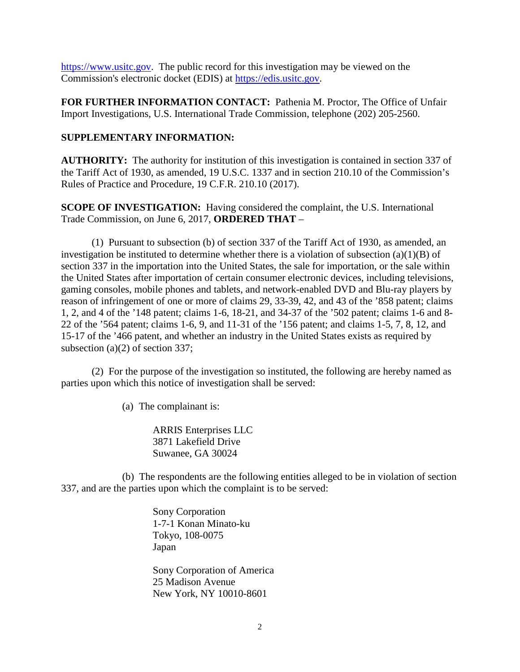[https://www.usitc.gov.](https://www.usitc.gov/) The public record for this investigation may be viewed on the Commission's electronic docket (EDIS) at [https://edis.usitc.gov.](https://edis.usitc.gov/)

**FOR FURTHER INFORMATION CONTACT:** Pathenia M. Proctor, The Office of Unfair Import Investigations, U.S. International Trade Commission, telephone (202) 205-2560.

## **SUPPLEMENTARY INFORMATION:**

**AUTHORITY:** The authority for institution of this investigation is contained in section 337 of the Tariff Act of 1930, as amended, 19 U.S.C. 1337 and in section 210.10 of the Commission's Rules of Practice and Procedure, 19 C.F.R. 210.10 (2017).

**SCOPE OF INVESTIGATION:** Having considered the complaint, the U.S. International Trade Commission, on June 6, 2017, **ORDERED THAT** –

(1) Pursuant to subsection (b) of section 337 of the Tariff Act of 1930, as amended, an investigation be instituted to determine whether there is a violation of subsection  $(a)(1)(B)$  of section 337 in the importation into the United States, the sale for importation, or the sale within the United States after importation of certain consumer electronic devices, including televisions, gaming consoles, mobile phones and tablets, and network-enabled DVD and Blu-ray players by reason of infringement of one or more of claims 29, 33-39, 42, and 43 of the '858 patent; claims 1, 2, and 4 of the '148 patent; claims 1-6, 18-21, and 34-37 of the '502 patent; claims 1-6 and 8- 22 of the '564 patent; claims 1-6, 9, and 11-31 of the '156 patent; and claims 1-5, 7, 8, 12, and 15-17 of the '466 patent, and whether an industry in the United States exists as required by subsection (a)(2) of section 337;

(2) For the purpose of the investigation so instituted, the following are hereby named as parties upon which this notice of investigation shall be served:

(a) The complainant is:

ARRIS Enterprises LLC 3871 Lakefield Drive Suwanee, GA 30024

(b) The respondents are the following entities alleged to be in violation of section 337, and are the parties upon which the complaint is to be served:

> Sony Corporation 1-7-1 Konan Minato-ku Tokyo, 108-0075 Japan

Sony Corporation of America 25 Madison Avenue New York, NY 10010-8601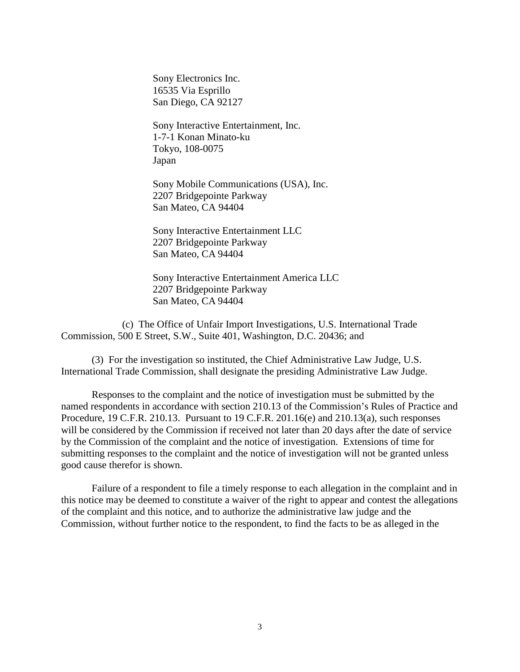Sony Electronics Inc. 16535 Via Esprillo San Diego, CA 92127

Sony Interactive Entertainment, Inc. 1-7-1 Konan Minato-ku Tokyo, 108-0075 Japan

Sony Mobile Communications (USA), Inc. 2207 Bridgepointe Parkway San Mateo, CA 94404

Sony Interactive Entertainment LLC 2207 Bridgepointe Parkway San Mateo, CA 94404

Sony Interactive Entertainment America LLC 2207 Bridgepointe Parkway San Mateo, CA 94404

(c) The Office of Unfair Import Investigations, U.S. International Trade Commission, 500 E Street, S.W., Suite 401, Washington, D.C. 20436; and

(3) For the investigation so instituted, the Chief Administrative Law Judge, U.S. International Trade Commission, shall designate the presiding Administrative Law Judge.

Responses to the complaint and the notice of investigation must be submitted by the named respondents in accordance with section 210.13 of the Commission's Rules of Practice and Procedure, 19 C.F.R. 210.13. Pursuant to 19 C.F.R. 201.16(e) and 210.13(a), such responses will be considered by the Commission if received not later than 20 days after the date of service by the Commission of the complaint and the notice of investigation. Extensions of time for submitting responses to the complaint and the notice of investigation will not be granted unless good cause therefor is shown.

Failure of a respondent to file a timely response to each allegation in the complaint and in this notice may be deemed to constitute a waiver of the right to appear and contest the allegations of the complaint and this notice, and to authorize the administrative law judge and the Commission, without further notice to the respondent, to find the facts to be as alleged in the